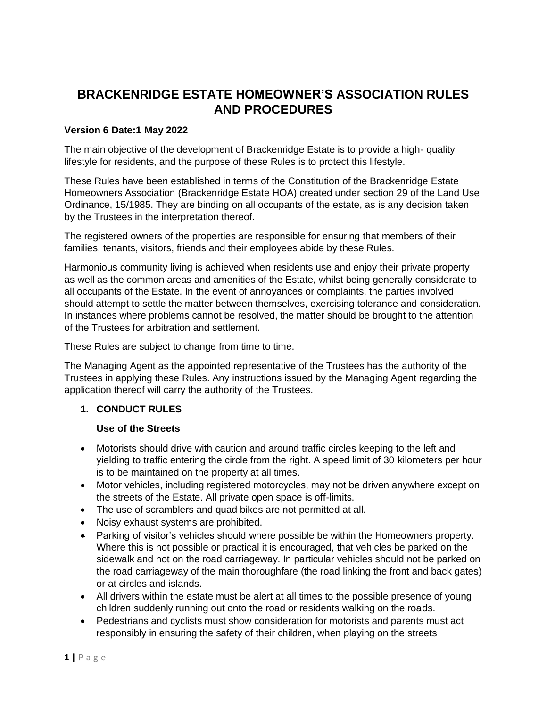# **BRACKENRIDGE ESTATE HOMEOWNER'S ASSOCIATION RULES AND PROCEDURES**

# **Version 6 Date:1 May 2022**

The main objective of the development of Brackenridge Estate is to provide a high- quality lifestyle for residents, and the purpose of these Rules is to protect this lifestyle.

These Rules have been established in terms of the Constitution of the Brackenridge Estate Homeowners Association (Brackenridge Estate HOA) created under section 29 of the Land Use Ordinance, 15/1985. They are binding on all occupants of the estate, as is any decision taken by the Trustees in the interpretation thereof.

The registered owners of the properties are responsible for ensuring that members of their families, tenants, visitors, friends and their employees abide by these Rules.

Harmonious community living is achieved when residents use and enjoy their private property as well as the common areas and amenities of the Estate, whilst being generally considerate to all occupants of the Estate. In the event of annoyances or complaints, the parties involved should attempt to settle the matter between themselves, exercising tolerance and consideration. In instances where problems cannot be resolved, the matter should be brought to the attention of the Trustees for arbitration and settlement.

These Rules are subject to change from time to time.

The Managing Agent as the appointed representative of the Trustees has the authority of the Trustees in applying these Rules. Any instructions issued by the Managing Agent regarding the application thereof will carry the authority of the Trustees.

### **1. CONDUCT RULES**

### **Use of the Streets**

- Motorists should drive with caution and around traffic circles keeping to the left and yielding to traffic entering the circle from the right. A speed limit of 30 kilometers per hour is to be maintained on the property at all times.
- Motor vehicles, including registered motorcycles, may not be driven anywhere except on the streets of the Estate. All private open space is off-limits.
- The use of scramblers and quad bikes are not permitted at all.
- Noisy exhaust systems are prohibited.
- Parking of visitor's vehicles should where possible be within the Homeowners property. Where this is not possible or practical it is encouraged, that vehicles be parked on the sidewalk and not on the road carriageway. In particular vehicles should not be parked on the road carriageway of the main thoroughfare (the road linking the front and back gates) or at circles and islands.
- All drivers within the estate must be alert at all times to the possible presence of young children suddenly running out onto the road or residents walking on the roads.
- Pedestrians and cyclists must show consideration for motorists and parents must act responsibly in ensuring the safety of their children, when playing on the streets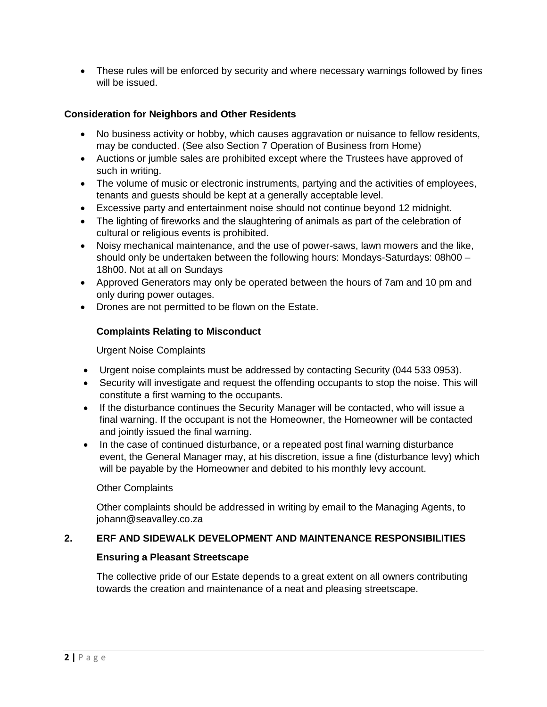• These rules will be enforced by security and where necessary warnings followed by fines will be issued.

# **Consideration for Neighbors and Other Residents**

- No business activity or hobby, which causes aggravation or nuisance to fellow residents, may be conducted. (See also Section 7 Operation of Business from Home)
- Auctions or jumble sales are prohibited except where the Trustees have approved of such in writing.
- The volume of music or electronic instruments, partying and the activities of employees, tenants and guests should be kept at a generally acceptable level.
- Excessive party and entertainment noise should not continue beyond 12 midnight.
- The lighting of fireworks and the slaughtering of animals as part of the celebration of cultural or religious events is prohibited.
- Noisy mechanical maintenance, and the use of power-saws, lawn mowers and the like, should only be undertaken between the following hours: Mondays-Saturdays: 08h00 – 18h00. Not at all on Sundays
- Approved Generators may only be operated between the hours of 7am and 10 pm and only during power outages.
- Drones are not permitted to be flown on the Estate.

# **Complaints Relating to Misconduct**

Urgent Noise Complaints

- Urgent noise complaints must be addressed by contacting Security (044 533 0953).
- Security will investigate and request the offending occupants to stop the noise. This will constitute a first warning to the occupants.
- If the disturbance continues the Security Manager will be contacted, who will issue a final warning. If the occupant is not the Homeowner, the Homeowner will be contacted and jointly issued the final warning.
- In the case of continued disturbance, or a repeated post final warning disturbance event, the General Manager may, at his discretion, issue a fine (disturbance levy) which will be payable by the Homeowner and debited to his monthly levy account.

### Other Complaints

Other complaints should be addressed in writing by email to the Managing Agents, to johann@seavalley.co.za

### **2. ERF AND SIDEWALK DEVELOPMENT AND MAINTENANCE RESPONSIBILITIES**

### **Ensuring a Pleasant Streetscape**

The collective pride of our Estate depends to a great extent on all owners contributing towards the creation and maintenance of a neat and pleasing streetscape.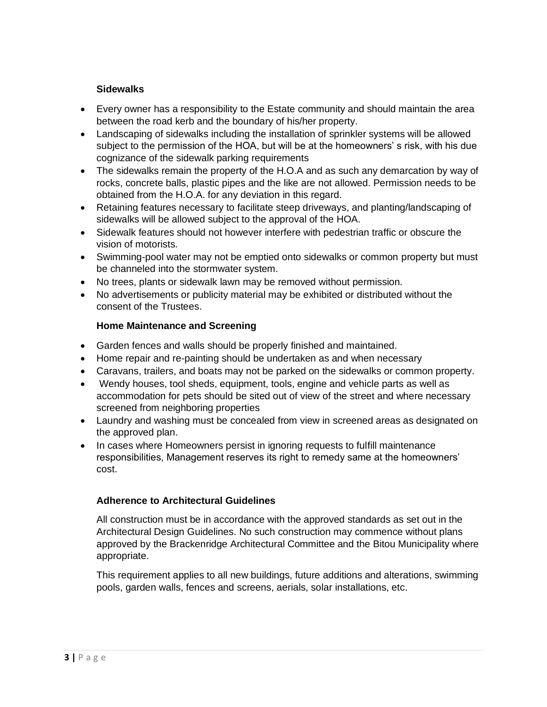### **Sidewalks**

- Every owner has a responsibility to the Estate community and should maintain the area between the road kerb and the boundary of his/her property.
- Landscaping of sidewalks including the installation of sprinkler systems will be allowed subject to the permission of the HOA, but will be at the homeowners' s risk, with his due cognizance of the sidewalk parking requirements
- The sidewalks remain the property of the H.O.A and as such any demarcation by way of rocks, concrete balls, plastic pipes and the like are not allowed. Permission needs to be obtained from the H.O.A. for any deviation in this regard.
- Retaining features necessary to facilitate steep driveways, and planting/landscaping of sidewalks will be allowed subject to the approval of the HOA.
- Sidewalk features should not however interfere with pedestrian traffic or obscure the vision of motorists.
- Swimming-pool water may not be emptied onto sidewalks or common property but must be channeled into the stormwater system.
- No trees, plants or sidewalk lawn may be removed without permission.
- No advertisements or publicity material may be exhibited or distributed without the consent of the Trustees.

### **Home Maintenance and Screening**

- Garden fences and walls should be properly finished and maintained.
- Home repair and re-painting should be undertaken as and when necessary
- Caravans, trailers, and boats may not be parked on the sidewalks or common property.
- Wendy houses, tool sheds, equipment, tools, engine and vehicle parts as well as accommodation for pets should be sited out of view of the street and where necessary screened from neighboring properties
- Laundry and washing must be concealed from view in screened areas as designated on the approved plan.
- In cases where Homeowners persist in ignoring requests to fulfill maintenance responsibilities, Management reserves its right to remedy same at the homeowners' cost.

# **Adherence to Architectural Guidelines**

All construction must be in accordance with the approved standards as set out in the Architectural Design Guidelines. No such construction may commence without plans approved by the Brackenridge Architectural Committee and the Bitou Municipality where appropriate.

This requirement applies to all new buildings, future additions and alterations, swimming pools, garden walls, fences and screens, aerials, solar installations, etc.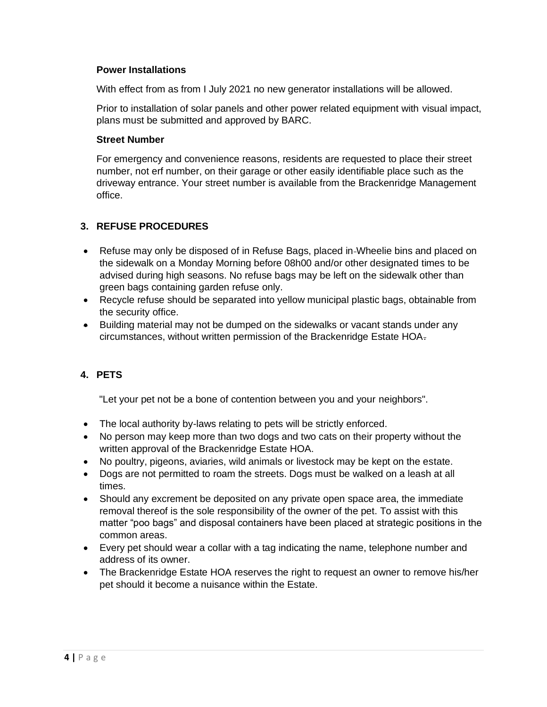#### **Power Installations**

With effect from as from I July 2021 no new generator installations will be allowed.

Prior to installation of solar panels and other power related equipment with visual impact, plans must be submitted and approved by BARC.

#### **Street Number**

For emergency and convenience reasons, residents are requested to place their street number, not erf number, on their garage or other easily identifiable place such as the driveway entrance. Your street number is available from the Brackenridge Management office.

# **3. REFUSE PROCEDURES**

- Refuse may only be disposed of in Refuse Bags, placed in-Wheelie bins and placed on the sidewalk on a Monday Morning before 08h00 and/or other designated times to be advised during high seasons. No refuse bags may be left on the sidewalk other than green bags containing garden refuse only.
- Recycle refuse should be separated into yellow municipal plastic bags, obtainable from the security office.
- Building material may not be dumped on the sidewalks or vacant stands under any circumstances, without written permission of the Brackenridge Estate HOA.

# **4. PETS**

"Let your pet not be a bone of contention between you and your neighbors".

- The local authority by-laws relating to pets will be strictly enforced.
- No person may keep more than two dogs and two cats on their property without the written approval of the Brackenridge Estate HOA.
- No poultry, pigeons, aviaries, wild animals or livestock may be kept on the estate.
- Dogs are not permitted to roam the streets. Dogs must be walked on a leash at all times.
- Should any excrement be deposited on any private open space area, the immediate removal thereof is the sole responsibility of the owner of the pet. To assist with this matter "poo bags" and disposal containers have been placed at strategic positions in the common areas.
- Every pet should wear a collar with a tag indicating the name, telephone number and address of its owner.
- The Brackenridge Estate HOA reserves the right to request an owner to remove his/her pet should it become a nuisance within the Estate.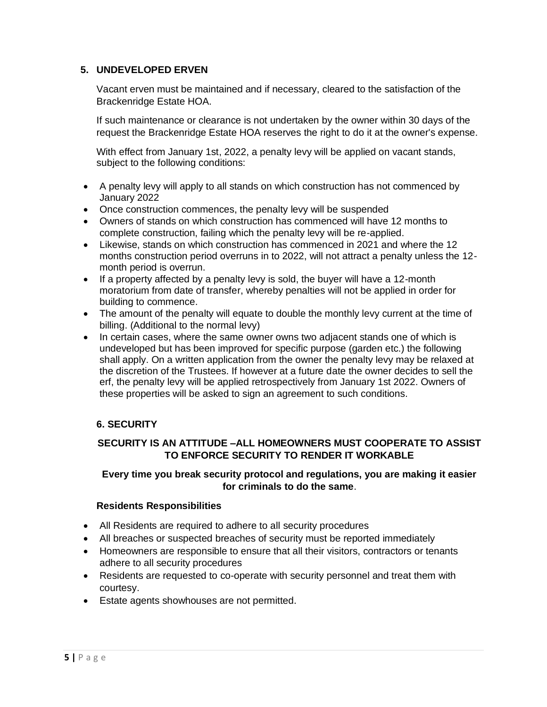# **5. UNDEVELOPED ERVEN**

Vacant erven must be maintained and if necessary, cleared to the satisfaction of the Brackenridge Estate HOA.

If such maintenance or clearance is not undertaken by the owner within 30 days of the request the Brackenridge Estate HOA reserves the right to do it at the owner's expense.

With effect from January 1st, 2022, a penalty levy will be applied on vacant stands, subject to the following conditions:

- A penalty levy will apply to all stands on which construction has not commenced by January 2022
- Once construction commences, the penalty levy will be suspended
- Owners of stands on which construction has commenced will have 12 months to complete construction, failing which the penalty levy will be re-applied.
- Likewise, stands on which construction has commenced in 2021 and where the 12 months construction period overruns in to 2022, will not attract a penalty unless the 12 month period is overrun.
- If a property affected by a penalty levy is sold, the buyer will have a 12-month moratorium from date of transfer, whereby penalties will not be applied in order for building to commence.
- The amount of the penalty will equate to double the monthly levy current at the time of billing. (Additional to the normal levy)
- In certain cases, where the same owner owns two adjacent stands one of which is undeveloped but has been improved for specific purpose (garden etc.) the following shall apply. On a written application from the owner the penalty levy may be relaxed at the discretion of the Trustees. If however at a future date the owner decides to sell the erf, the penalty levy will be applied retrospectively from January 1st 2022. Owners of these properties will be asked to sign an agreement to such conditions.

# **6. SECURITY**

# **SECURITY IS AN ATTITUDE –ALL HOMEOWNERS MUST COOPERATE TO ASSIST TO ENFORCE SECURITY TO RENDER IT WORKABLE**

### **Every time you break security protocol and regulations, you are making it easier for criminals to do the same**.

### **Residents Responsibilities**

- All Residents are required to adhere to all security procedures
- All breaches or suspected breaches of security must be reported immediately
- Homeowners are responsible to ensure that all their visitors, contractors or tenants adhere to all security procedures
- Residents are requested to co-operate with security personnel and treat them with courtesy.
- Estate agents showhouses are not permitted.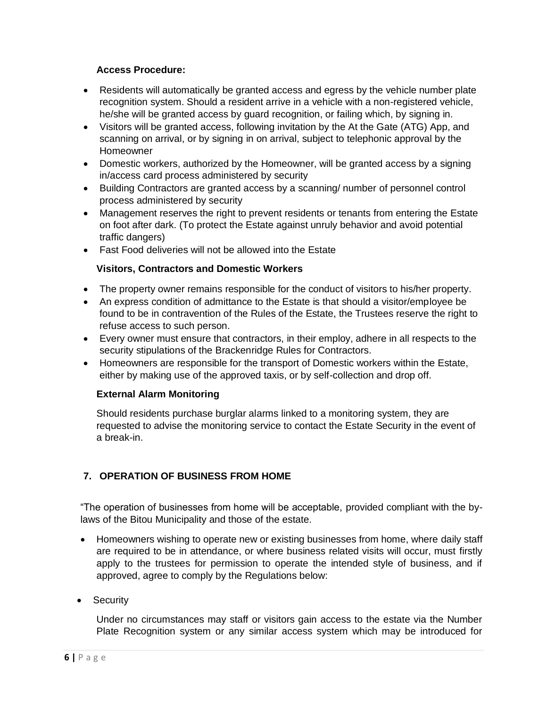### **Access Procedure:**

- Residents will automatically be granted access and egress by the vehicle number plate recognition system. Should a resident arrive in a vehicle with a non-registered vehicle, he/she will be granted access by guard recognition, or failing which, by signing in.
- Visitors will be granted access, following invitation by the At the Gate (ATG) App, and scanning on arrival, or by signing in on arrival, subject to telephonic approval by the Homeowner
- Domestic workers, authorized by the Homeowner, will be granted access by a signing in/access card process administered by security
- Building Contractors are granted access by a scanning/ number of personnel control process administered by security
- Management reserves the right to prevent residents or tenants from entering the Estate on foot after dark. (To protect the Estate against unruly behavior and avoid potential traffic dangers)
- Fast Food deliveries will not be allowed into the Estate

# **Visitors, Contractors and Domestic Workers**

- The property owner remains responsible for the conduct of visitors to his/her property.
- An express condition of admittance to the Estate is that should a visitor/employee be found to be in contravention of the Rules of the Estate, the Trustees reserve the right to refuse access to such person.
- Every owner must ensure that contractors, in their employ, adhere in all respects to the security stipulations of the Brackenridge Rules for Contractors.
- Homeowners are responsible for the transport of Domestic workers within the Estate, either by making use of the approved taxis, or by self-collection and drop off.

### **External Alarm Monitoring**

Should residents purchase burglar alarms linked to a monitoring system, they are requested to advise the monitoring service to contact the Estate Security in the event of a break-in.

# **7. OPERATION OF BUSINESS FROM HOME**

"The operation of businesses from home will be acceptable, provided compliant with the bylaws of the Bitou Municipality and those of the estate.

- Homeowners wishing to operate new or existing businesses from home, where daily staff are required to be in attendance, or where business related visits will occur, must firstly apply to the trustees for permission to operate the intended style of business, and if approved, agree to comply by the Regulations below:
- Security

Under no circumstances may staff or visitors gain access to the estate via the Number Plate Recognition system or any similar access system which may be introduced for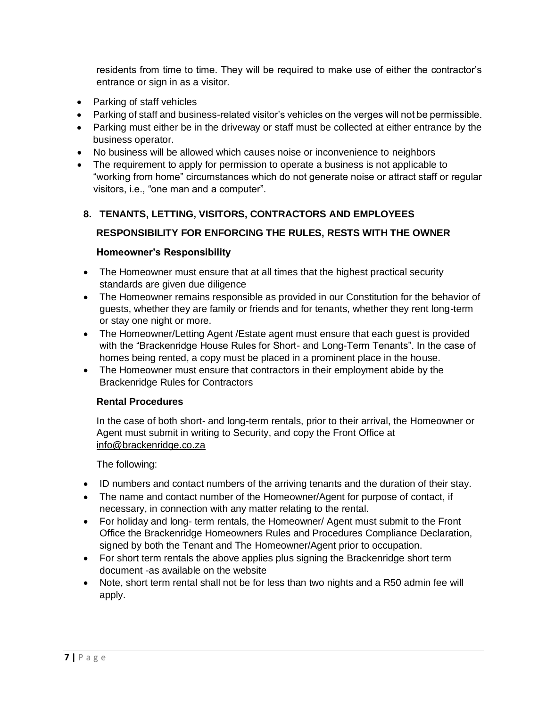residents from time to time. They will be required to make use of either the contractor's entrance or sign in as a visitor.

- Parking of staff vehicles
- Parking of staff and business-related visitor's vehicles on the verges will not be permissible.
- Parking must either be in the driveway or staff must be collected at either entrance by the business operator.
- No business will be allowed which causes noise or inconvenience to neighbors
- The requirement to apply for permission to operate a business is not applicable to "working from home" circumstances which do not generate noise or attract staff or regular visitors, i.e., "one man and a computer".

# **8. TENANTS, LETTING, VISITORS, CONTRACTORS AND EMPLOYEES**

# **RESPONSIBILITY FOR ENFORCING THE RULES, RESTS WITH THE OWNER**

# **Homeowner's Responsibility**

- The Homeowner must ensure that at all times that the highest practical security standards are given due diligence
- The Homeowner remains responsible as provided in our Constitution for the behavior of guests, whether they are family or friends and for tenants, whether they rent long-term or stay one night or more.
- The Homeowner/Letting Agent /Estate agent must ensure that each guest is provided with the "Brackenridge House Rules for Short- and Long-Term Tenants". In the case of homes being rented, a copy must be placed in a prominent place in the house.
- The Homeowner must ensure that contractors in their employment abide by the Brackenridge Rules for Contractors

### **Rental Procedures**

In the case of both short- and long-term rentals, prior to their arrival, the Homeowner or Agent must submit in writing to Security, and copy the Front Office at [info@brackenridge.co.za](mailto:info@brackenridge.co.za)

The following:

- ID numbers and contact numbers of the arriving tenants and the duration of their stay.
- The name and contact number of the Homeowner/Agent for purpose of contact, if necessary, in connection with any matter relating to the rental.
- For holiday and long- term rentals, the Homeowner/ Agent must submit to the Front Office the Brackenridge Homeowners Rules and Procedures Compliance Declaration, signed by both the Tenant and The Homeowner/Agent prior to occupation.
- For short term rentals the above applies plus signing the Brackenridge short term document -as available on the website
- Note, short term rental shall not be for less than two nights and a R50 admin fee will apply.